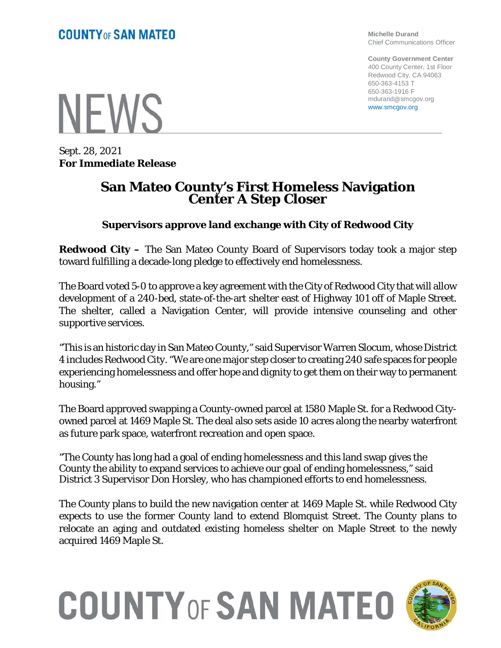**Michelle Durand** Chief Communications Officer

**County Government Center** 400 County Center, 1st Floor Redwood City, CA 94063 650-363-4153 T 650-363-1916 F mdurand@smcgov.org www.smcgov.org

**NEWS** 

Sept. 28, 2021 **For Immediate Release**

## **San Mateo County's First Homeless Navigation Center A Step Closer**

## **Supervisors approve land exchange with City of Redwood City**

**Redwood City –** The San Mateo County Board of Supervisors today took a major step toward fulfilling a decade-long pledge to effectively end homelessness.

The Board voted 5-0 to approve a key agreement with the City of Redwood City that will allow development of a 240-bed, state-of-the-art shelter east of Highway 101 off of Maple Street. The shelter, called a Navigation Center, will provide intensive counseling and other supportive services.

"This is an historic day in San Mateo County," said Supervisor Warren Slocum, whose District 4 includes Redwood City. "We are one major step closer to creating 240 safe spaces for people experiencing homelessness and offer hope and dignity to get them on their way to permanent housing."

The Board approved swapping a County-owned parcel at 1580 Maple St. for a Redwood Cityowned parcel at 1469 Maple St. The deal also sets aside 10 acres along the nearby waterfront as future park space, waterfront recreation and open space.

"The County has long had a goal of ending homelessness and this land swap gives the County the ability to expand services to achieve our goal of ending homelessness," said District 3 Supervisor Don Horsley, who has championed efforts to end homelessness.

The County plans to build the new navigation center at 1469 Maple St. while Redwood City expects to use the former County land to extend Blomquist Street. The County plans to relocate an aging and outdated existing homeless shelter on Maple Street to the newly acquired 1469 Maple St.



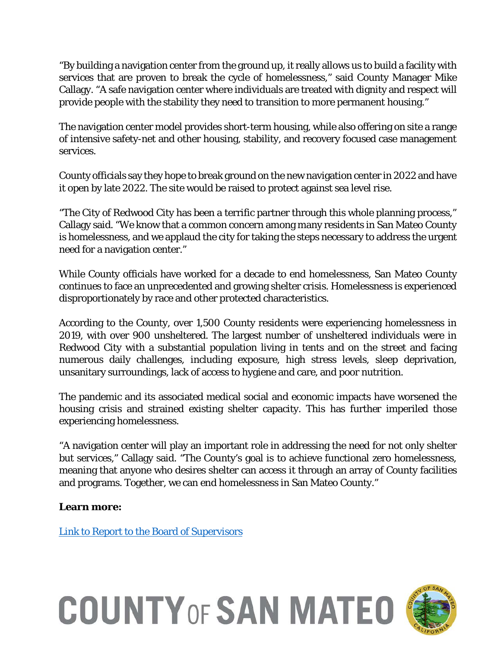"By building a navigation center from the ground up, it really allows us to build a facility with services that are proven to break the cycle of homelessness," said County Manager Mike Callagy. "A safe navigation center where individuals are treated with dignity and respect will provide people with the stability they need to transition to more permanent housing."

The navigation center model provides short-term housing, while also offering on site a range of intensive safety-net and other housing, stability, and recovery focused case management services.

County officials say they hope to break ground on the new navigation center in 2022 and have it open by late 2022. The site would be raised to protect against sea level rise.

"The City of Redwood City has been a terrific partner through this whole planning process," Callagy said. "We know that a common concern among many residents in San Mateo County is homelessness, and we applaud the city for taking the steps necessary to address the urgent need for a navigation center."

While County officials have worked for a decade to end homelessness, San Mateo County continues to face an unprecedented and growing shelter crisis. Homelessness is experienced disproportionately by race and other protected characteristics.

According to the County, over 1,500 County residents were experiencing homelessness in 2019, with over 900 unsheltered. The largest number of unsheltered individuals were in Redwood City with a substantial population living in tents and on the street and facing numerous daily challenges, including exposure, high stress levels, sleep deprivation, unsanitary surroundings, lack of access to hygiene and care, and poor nutrition.

The pandemic and its associated medical social and economic impacts have worsened the housing crisis and strained existing shelter capacity. This has further imperiled those experiencing homelessness.

"A navigation center will play an important role in addressing the need for not only shelter but services," Callagy said. "The County's goal is to achieve functional zero homelessness, meaning that anyone who desires shelter can access it through an array of County facilities and programs. Together, we can end homelessness in San Mateo County."

**Learn more:**

[Link to Report to the Board of Supervisors](https://sanmateocounty.legistar.com/LegislationDetail.aspx?ID=5149245&GUID=5D450CBF-612B-4B75-A37D-727DCF3CAFA6)

## **COUNTY OF SAN MATEO**